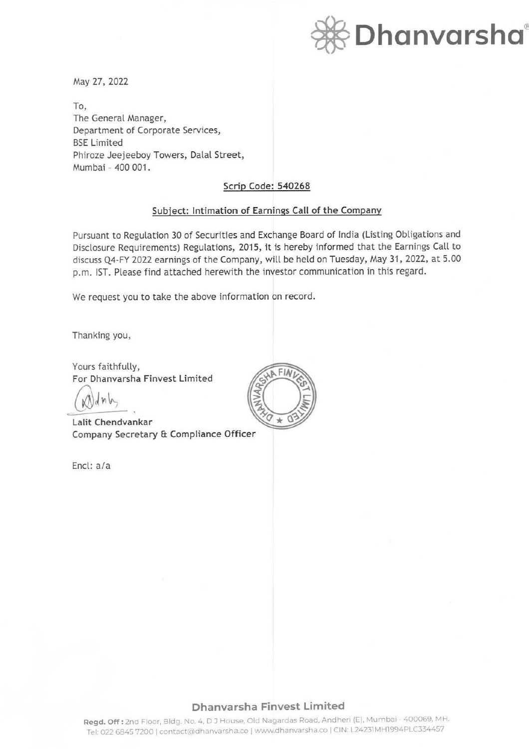

May 27, 2022

To, The General Manager, Department of Corporate Services, BSE Limited Phiroze Jeejeeboy Towers, Dalal Street, Mumbai - 400 001.

### Scrip Code: 540268

#### Subject: Intimation of Earnings Call of the Company

Pursuant to Regulation 30 of Securities and Exchange Board of India (Listing Obligations and Disclosure Requirements) Regulations, 2015, it is hereby informed that the Earnings Call to discuss Q4-FY 2022 earnings of the Company, will be held on Tuesday, May 31, 2022, at 5.00 p.m. 1ST. Please find attached herewith the investor communication in this regard.

We request you to take the above information on record.

Thanking you,

Yours faithfully, **For Dhanvarsha Finvest Limited** 

 $(\mathbb{N})$ dn $\mathbb{N}$ 

**Lalit Chendvankar Company Secretary** & **Compliance Officer** 

Encl: a/a



## **Dhanvarsha Finvest Limited**

**Regd. Off:** 2nd Floor, Bldg. No. 4, DJ House, Old Nagardas Road, Andheri (E), Mumbai - 400069, MH. Tel: 022 6845 7200 | contact@dhanvarsha.co | www.dhanvarsha.co | CIN: L24231MH1994PLC334457